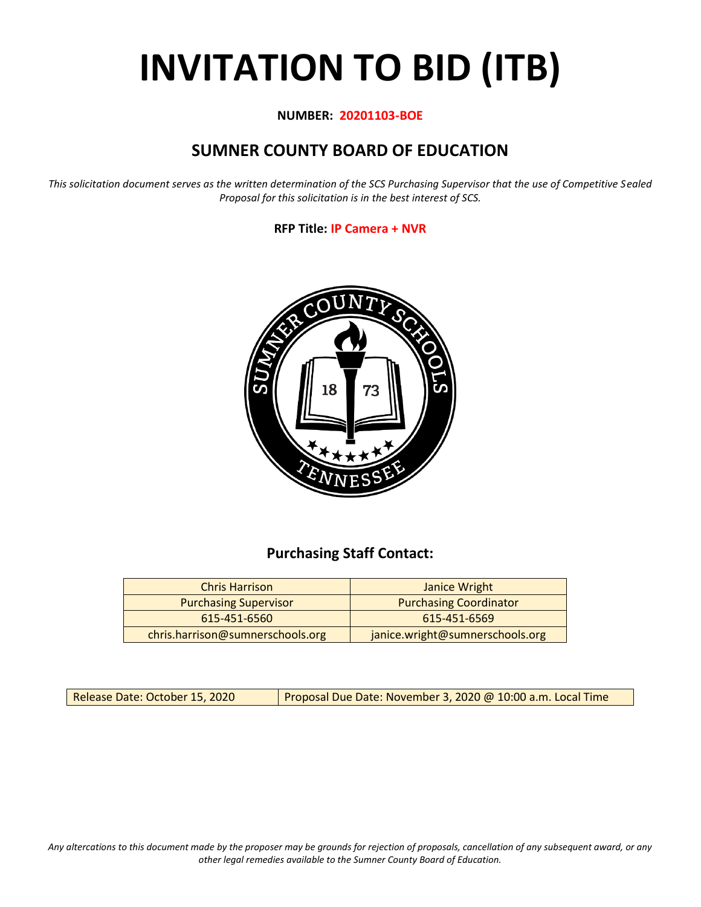# **INVITATION TO BID (ITB)**

#### **NUMBER: 20201103-BOE**

# **SUMNER COUNTY BOARD OF EDUCATION**

*This solicitation document serves as the written determination of the SCS Purchasing Supervisor that the use of Competitive Sealed Proposal for this solicitation is in the best interest of SCS.*

#### **RFP Title: IP Camera + NVR**



## **Purchasing Staff Contact:**

| <b>Chris Harrison</b>                                               | Janice Wright                 |  |  |  |
|---------------------------------------------------------------------|-------------------------------|--|--|--|
| <b>Purchasing Supervisor</b>                                        | <b>Purchasing Coordinator</b> |  |  |  |
| 615-451-6560                                                        | 615-451-6569                  |  |  |  |
| chris.harrison@sumnerschools.org<br>janice.wright@sumnerschools.org |                               |  |  |  |

Release Date: October 15, 2020 Proposal Due Date: November 3, 2020 @ 10:00 a.m. Local Time

*Any altercations to this document made by the proposer may be grounds for rejection of proposals, cancellation of any subsequent award, or any other legal remedies available to the Sumner County Board of Education.*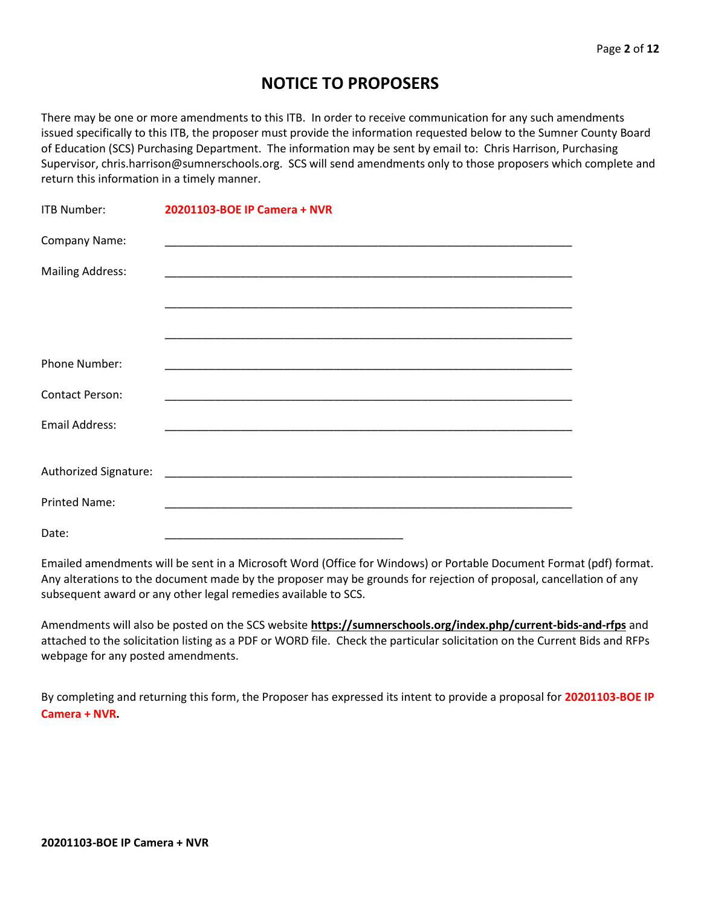## **NOTICE TO PROPOSERS**

There may be one or more amendments to this ITB. In order to receive communication for any such amendments issued specifically to this ITB, the proposer must provide the information requested below to the Sumner County Board of Education (SCS) Purchasing Department. The information may be sent by email to: Chris Harrison, Purchasing Supervisor, chris.harrison@sumnerschools.org. SCS will send amendments only to those proposers which complete and return this information in a timely manner.

| ITB Number:             | 20201103-BOE IP Camera + NVR |
|-------------------------|------------------------------|
| Company Name:           |                              |
| <b>Mailing Address:</b> |                              |
|                         |                              |
|                         |                              |
| Phone Number:           |                              |
| <b>Contact Person:</b>  |                              |
| <b>Email Address:</b>   |                              |
|                         |                              |
|                         |                              |
| <b>Printed Name:</b>    |                              |
| Date:                   |                              |

Emailed amendments will be sent in a Microsoft Word (Office for Windows) or Portable Document Format (pdf) format. Any alterations to the document made by the proposer may be grounds for rejection of proposal, cancellation of any subsequent award or any other legal remedies available to SCS.

Amendments will also be posted on the SCS website **https://sumnerschools.org/index.php/current-bids-and-rfps** and attached to the solicitation listing as a PDF or WORD file. Check the particular solicitation on the Current Bids and RFPs webpage for any posted amendments.

By completing and returning this form, the Proposer has expressed its intent to provide a proposal for **20201103-BOE IP Camera + NVR.**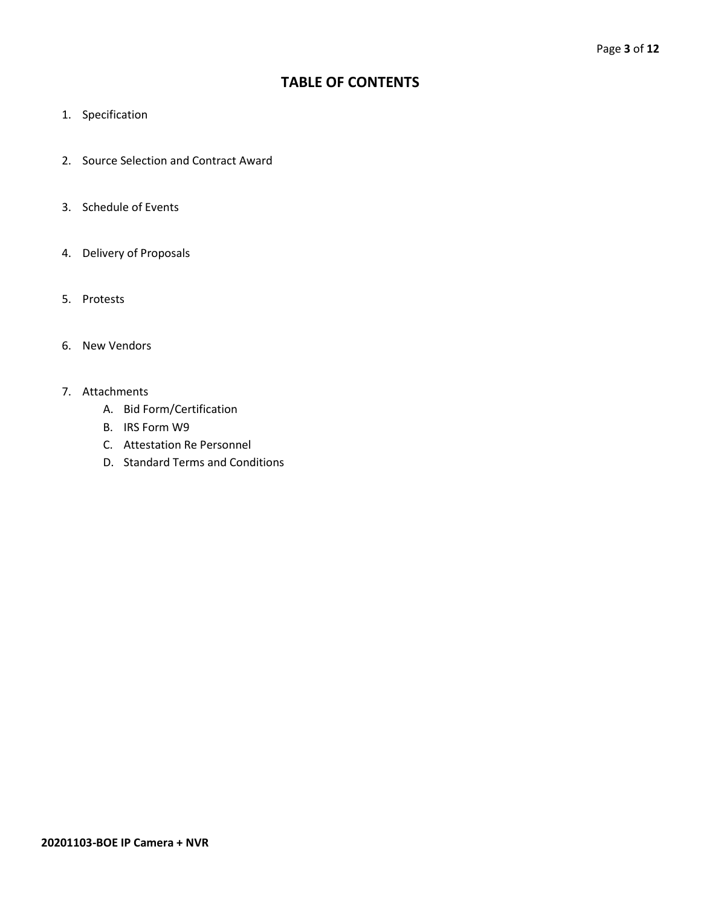## **TABLE OF CONTENTS**

- 1. Specification
- 2. Source Selection and Contract Award
- 3. Schedule of Events
- 4. Delivery of Proposals
- 5. Protests
- 6. New Vendors
- 7. Attachments
	- A. Bid Form/Certification
	- B. IRS Form W9
	- C. Attestation Re Personnel
	- D. Standard Terms and Conditions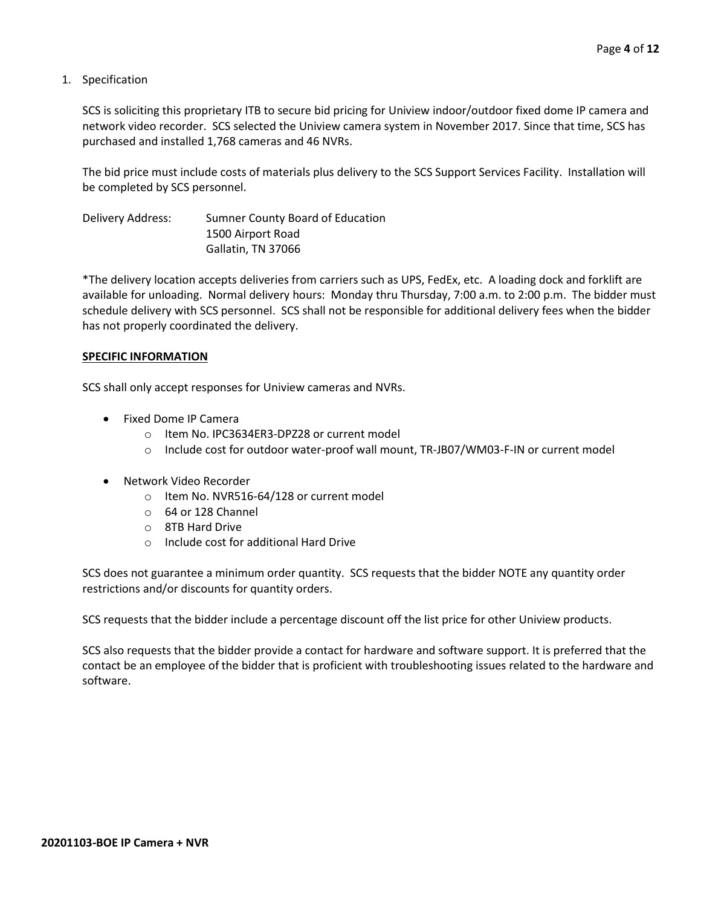1. Specification

SCS is soliciting this proprietary ITB to secure bid pricing for Uniview indoor/outdoor fixed dome IP camera and network video recorder. SCS selected the Uniview camera system in November 2017. Since that time, SCS has purchased and installed 1,768 cameras and 46 NVRs.

The bid price must include costs of materials plus delivery to the SCS Support Services Facility. Installation will be completed by SCS personnel.

Delivery Address: Sumner County Board of Education 1500 Airport Road Gallatin, TN 37066

\*The delivery location accepts deliveries from carriers such as UPS, FedEx, etc. A loading dock and forklift are available for unloading. Normal delivery hours: Monday thru Thursday, 7:00 a.m. to 2:00 p.m. The bidder must schedule delivery with SCS personnel. SCS shall not be responsible for additional delivery fees when the bidder has not properly coordinated the delivery.

#### **SPECIFIC INFORMATION**

SCS shall only accept responses for Uniview cameras and NVRs.

- Fixed Dome IP Camera
	- o Item No. IPC3634ER3-DPZ28 or current model
	- $\circ$  Include cost for outdoor water-proof wall mount, TR-JB07/WM03-F-IN or current model
- Network Video Recorder
	- o Item No. NVR516-64/128 or current model
	- o 64 or 128 Channel
	- o 8TB Hard Drive
	- o Include cost for additional Hard Drive

SCS does not guarantee a minimum order quantity. SCS requests that the bidder NOTE any quantity order restrictions and/or discounts for quantity orders.

SCS requests that the bidder include a percentage discount off the list price for other Uniview products.

SCS also requests that the bidder provide a contact for hardware and software support. It is preferred that the contact be an employee of the bidder that is proficient with troubleshooting issues related to the hardware and software.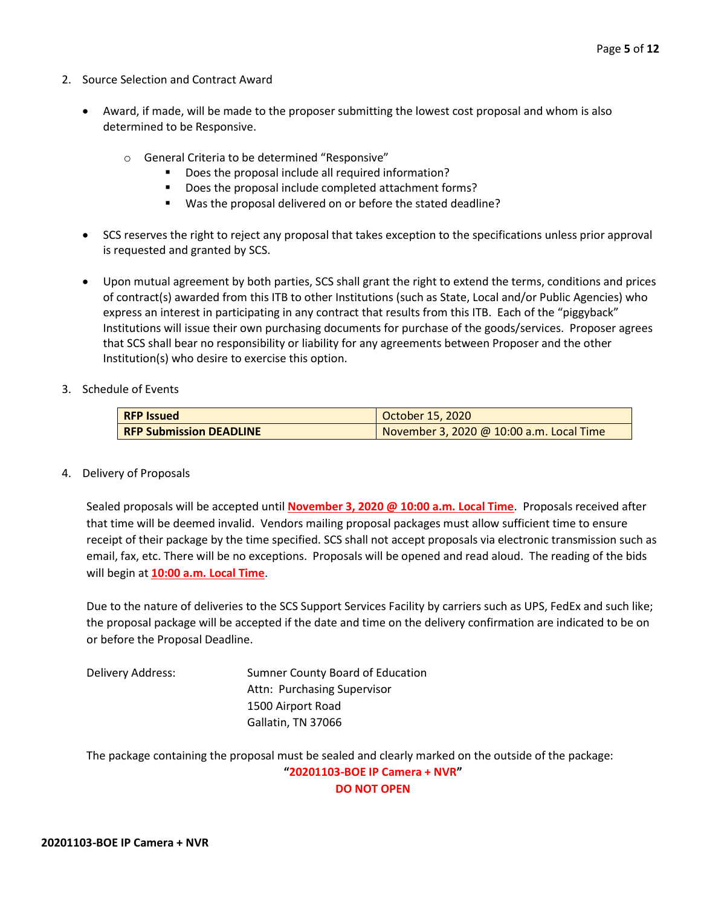- 2. Source Selection and Contract Award
	- Award, if made, will be made to the proposer submitting the lowest cost proposal and whom is also determined to be Responsive.
		- o General Criteria to be determined "Responsive"
			- Does the proposal include all required information?
			- Does the proposal include completed attachment forms?
			- Was the proposal delivered on or before the stated deadline?
	- SCS reserves the right to reject any proposal that takes exception to the specifications unless prior approval is requested and granted by SCS.
	- Upon mutual agreement by both parties, SCS shall grant the right to extend the terms, conditions and prices of contract(s) awarded from this ITB to other Institutions (such as State, Local and/or Public Agencies) who express an interest in participating in any contract that results from this ITB. Each of the "piggyback" Institutions will issue their own purchasing documents for purchase of the goods/services. Proposer agrees that SCS shall bear no responsibility or liability for any agreements between Proposer and the other Institution(s) who desire to exercise this option.
- 3. Schedule of Events

| <b>RFP Issued</b>              | October 15, 2020                         |  |  |  |  |  |  |
|--------------------------------|------------------------------------------|--|--|--|--|--|--|
| <b>RFP Submission DEADLINE</b> | November 3, 2020 @ 10:00 a.m. Local Time |  |  |  |  |  |  |

4. Delivery of Proposals

Sealed proposals will be accepted until **November 3, 2020 @ 10:00 a.m. Local Time**. Proposals received after that time will be deemed invalid. Vendors mailing proposal packages must allow sufficient time to ensure receipt of their package by the time specified. SCS shall not accept proposals via electronic transmission such as email, fax, etc. There will be no exceptions. Proposals will be opened and read aloud. The reading of the bids will begin at **10:00 a.m. Local Time**.

Due to the nature of deliveries to the SCS Support Services Facility by carriers such as UPS, FedEx and such like; the proposal package will be accepted if the date and time on the delivery confirmation are indicated to be on or before the Proposal Deadline.

Delivery Address: Sumner County Board of Education Attn: Purchasing Supervisor 1500 Airport Road Gallatin, TN 37066

The package containing the proposal must be sealed and clearly marked on the outside of the package:

**"20201103-BOE IP Camera + NVR" DO NOT OPEN**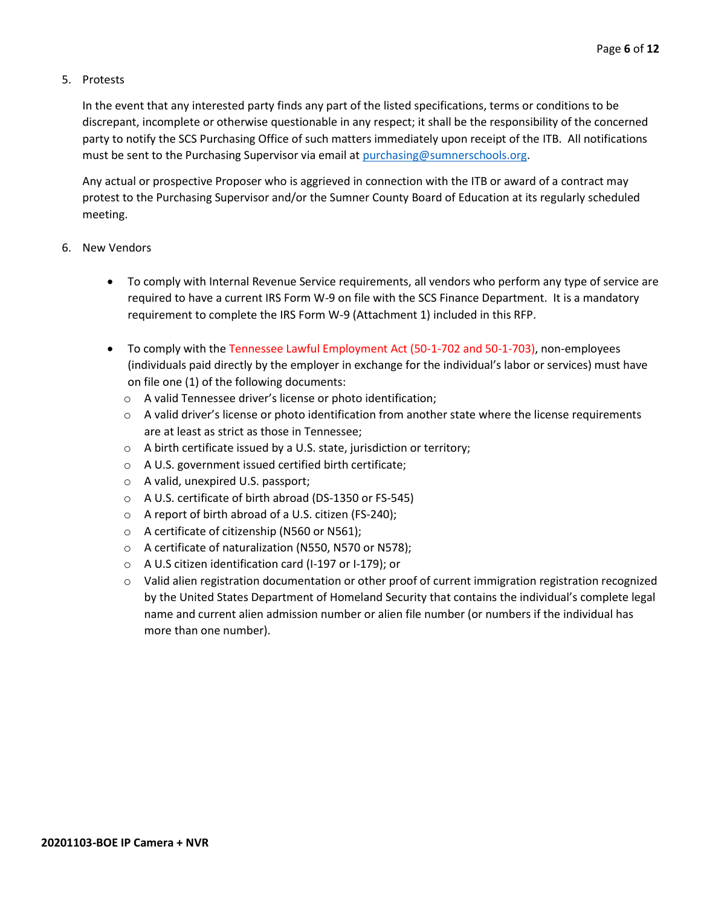#### 5. Protests

In the event that any interested party finds any part of the listed specifications, terms or conditions to be discrepant, incomplete or otherwise questionable in any respect; it shall be the responsibility of the concerned party to notify the SCS Purchasing Office of such matters immediately upon receipt of the ITB. All notifications must be sent to the Purchasing Supervisor via email at [purchasing@sumnerschools.org.](mailto:purchasing@sumnerschools.org)

Any actual or prospective Proposer who is aggrieved in connection with the ITB or award of a contract may protest to the Purchasing Supervisor and/or the Sumner County Board of Education at its regularly scheduled meeting.

#### 6. New Vendors

- To comply with Internal Revenue Service requirements, all vendors who perform any type of service are required to have a current IRS Form W-9 on file with the SCS Finance Department. It is a mandatory requirement to complete the IRS Form W-9 (Attachment 1) included in this RFP.
- To comply with the Tennessee Lawful Employment Act (50-1-702 and 50-1-703), non-employees (individuals paid directly by the employer in exchange for the individual's labor or services) must have on file one (1) of the following documents:
	- o A valid Tennessee driver's license or photo identification;
	- $\circ$  A valid driver's license or photo identification from another state where the license requirements are at least as strict as those in Tennessee;
	- o A birth certificate issued by a U.S. state, jurisdiction or territory;
	- o A U.S. government issued certified birth certificate;
	- o A valid, unexpired U.S. passport;
	- o A U.S. certificate of birth abroad (DS-1350 or FS-545)
	- o A report of birth abroad of a U.S. citizen (FS-240);
	- o A certificate of citizenship (N560 or N561);
	- o A certificate of naturalization (N550, N570 or N578);
	- o A U.S citizen identification card (I-197 or I-179); or
	- $\circ$  Valid alien registration documentation or other proof of current immigration registration recognized by the United States Department of Homeland Security that contains the individual's complete legal name and current alien admission number or alien file number (or numbers if the individual has more than one number).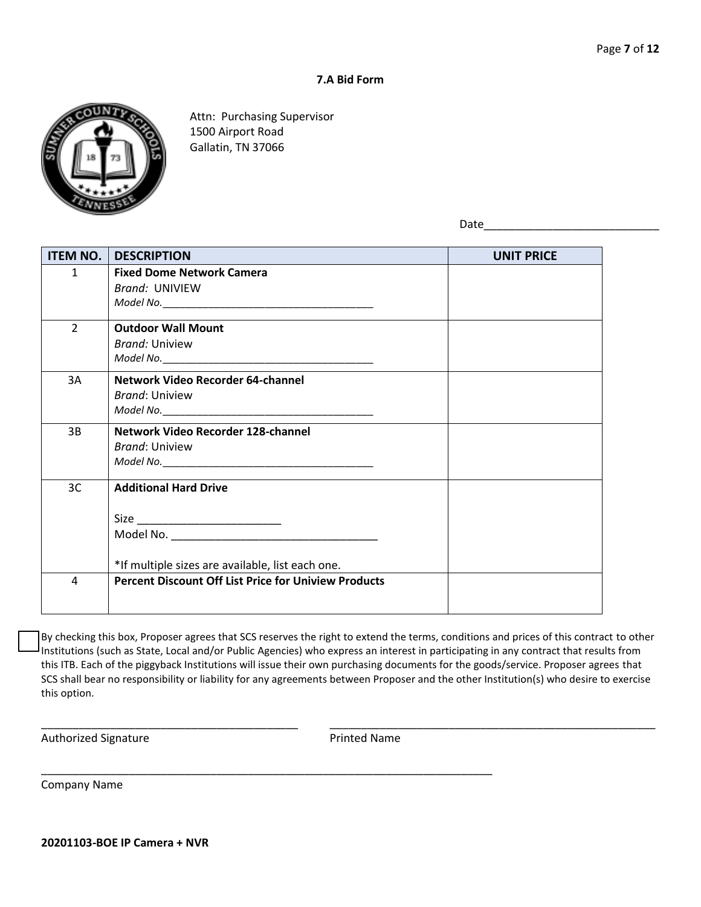#### **7.A Bid Form**



Attn: Purchasing Supervisor 1500 Airport Road Gallatin, TN 37066

Date

| <b>ITEM NO.</b> | <b>DESCRIPTION</b>                                          | <b>UNIT PRICE</b> |
|-----------------|-------------------------------------------------------------|-------------------|
| $\mathbf{1}$    | <b>Fixed Dome Network Camera</b>                            |                   |
|                 | <b>Brand: UNIVIEW</b>                                       |                   |
|                 |                                                             |                   |
| $\overline{2}$  | <b>Outdoor Wall Mount</b>                                   |                   |
|                 | <b>Brand: Uniview</b>                                       |                   |
|                 |                                                             |                   |
| 3A              | Network Video Recorder 64-channel                           |                   |
|                 | <b>Brand: Uniview</b>                                       |                   |
|                 |                                                             |                   |
| 3B              | Network Video Recorder 128-channel                          |                   |
|                 | <b>Brand: Uniview</b>                                       |                   |
|                 |                                                             |                   |
| 3C              | <b>Additional Hard Drive</b>                                |                   |
|                 |                                                             |                   |
|                 |                                                             |                   |
|                 |                                                             |                   |
|                 | *If multiple sizes are available, list each one.            |                   |
| 4               | <b>Percent Discount Off List Price for Uniview Products</b> |                   |
|                 |                                                             |                   |

By checking this box, Proposer agrees that SCS reserves the right to extend the terms, conditions and prices of this contract to other Institutions (such as State, Local and/or Public Agencies) who express an interest in participating in any contract that results from this ITB. Each of the piggyback Institutions will issue their own purchasing documents for the goods/service. Proposer agrees that SCS shall bear no responsibility or liability for any agreements between Proposer and the other Institution(s) who desire to exercise this option.

\_\_\_\_\_\_\_\_\_\_\_\_\_\_\_\_\_\_\_\_\_\_\_\_\_\_\_\_\_\_\_\_\_\_\_\_\_\_\_\_\_ \_\_\_\_\_\_\_\_\_\_\_\_\_\_\_\_\_\_\_\_\_\_\_\_\_\_\_\_\_\_\_\_\_\_\_\_\_\_\_\_\_\_\_\_\_\_\_\_\_\_\_\_

\_\_\_\_\_\_\_\_\_\_\_\_\_\_\_\_\_\_\_\_\_\_\_\_\_\_\_\_\_\_\_\_\_\_\_\_\_\_\_\_\_\_\_\_\_\_\_\_\_\_\_\_\_\_\_\_\_\_\_\_\_\_\_\_\_\_\_\_\_\_\_\_

Authorized Signature **Authorized Signature Printed Name** 

Company Name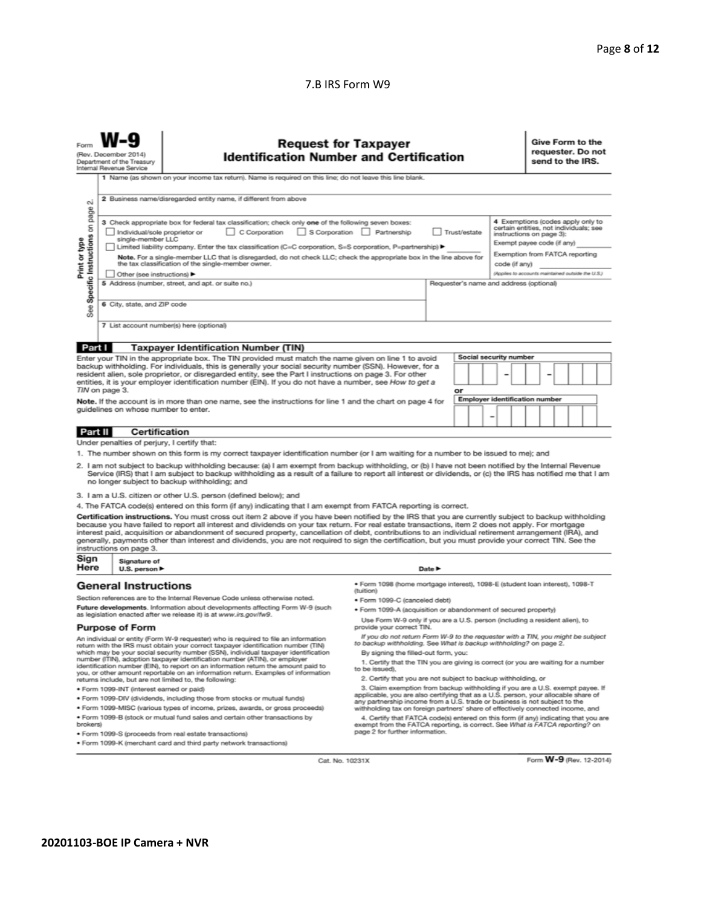#### 7.B IRS Form W9

|                                                                                                                                                                                                                                                                                                                                                                                                                                                                                                                                                                                                                                                                                                                                                                             | <b>Request for Taxpayer</b><br><b>Identification Number and Certification</b><br>(Rev. December 2014)<br>Department of the Treasury<br>Internal Revenue Service<br>1 Name (as shown on your income tax return). Name is required on this line; do not leave this line blank. |                                                                                                                                                     |                                                                                                                                                                                                        |  |  |  |                               | Give Form to the<br>requester. Do not<br>send to the IRS. |  |  |  |  |  |
|-----------------------------------------------------------------------------------------------------------------------------------------------------------------------------------------------------------------------------------------------------------------------------------------------------------------------------------------------------------------------------------------------------------------------------------------------------------------------------------------------------------------------------------------------------------------------------------------------------------------------------------------------------------------------------------------------------------------------------------------------------------------------------|------------------------------------------------------------------------------------------------------------------------------------------------------------------------------------------------------------------------------------------------------------------------------|-----------------------------------------------------------------------------------------------------------------------------------------------------|--------------------------------------------------------------------------------------------------------------------------------------------------------------------------------------------------------|--|--|--|-------------------------------|-----------------------------------------------------------|--|--|--|--|--|
| $\sim$<br>page                                                                                                                                                                                                                                                                                                                                                                                                                                                                                                                                                                                                                                                                                                                                                              |                                                                                                                                                                                                                                                                              | 2 Business name/disregarded entity name, if different from above                                                                                    |                                                                                                                                                                                                        |  |  |  |                               |                                                           |  |  |  |  |  |
| 4 Exemptions (codes apply only to<br>3 Check appropriate box for federal tax classification; check only one of the following seven boxes:<br>Specific Instructions on<br>certain entities, not individuals; see<br>C Corporation<br>S Corporation Partnership<br>Trust/estate<br>Individual/sole proprietor or<br>instructions on page 3):<br>single-member LLC<br>Print or type<br>Exempt payee code (if any)<br>Limited liability company. Enter the tax classification (C=C corporation, S=S corporation, P=partnership) ▶<br>Exemption from FATCA reporting<br>Note. For a single-member LLC that is disregarded, do not check LLC; check the appropriate box in the line above for<br>the tax classification of the single-member owner.<br>code (if any)              |                                                                                                                                                                                                                                                                              |                                                                                                                                                     |                                                                                                                                                                                                        |  |  |  |                               |                                                           |  |  |  |  |  |
| (Applies to accounts maintained outside the U.S.)<br>Other (see instructions) ▶<br>5 Address (number, street, and apt. or suite no.)<br>Requester's name and address (optional)<br>6 City, state, and ZIP code<br>See<br>7 List account number(s) here (optional)                                                                                                                                                                                                                                                                                                                                                                                                                                                                                                           |                                                                                                                                                                                                                                                                              |                                                                                                                                                     |                                                                                                                                                                                                        |  |  |  |                               |                                                           |  |  |  |  |  |
|                                                                                                                                                                                                                                                                                                                                                                                                                                                                                                                                                                                                                                                                                                                                                                             |                                                                                                                                                                                                                                                                              |                                                                                                                                                     |                                                                                                                                                                                                        |  |  |  |                               |                                                           |  |  |  |  |  |
| Part I                                                                                                                                                                                                                                                                                                                                                                                                                                                                                                                                                                                                                                                                                                                                                                      |                                                                                                                                                                                                                                                                              | <b>Taxpayer Identification Number (TIN)</b><br>Enter your TIN in the appropriate box. The TIN provided must match the name given on line 1 to avoid |                                                                                                                                                                                                        |  |  |  | <b>Social security number</b> |                                                           |  |  |  |  |  |
| backup withholding. For individuals, this is generally your social security number (SSN). However, for a<br>resident alien, sole proprietor, or disregarded entity, see the Part I instructions on page 3. For other<br>entities, it is your employer identification number (EIN). If you do not have a number, see How to get a<br>TIN on page 3.<br>or                                                                                                                                                                                                                                                                                                                                                                                                                    |                                                                                                                                                                                                                                                                              |                                                                                                                                                     |                                                                                                                                                                                                        |  |  |  |                               |                                                           |  |  |  |  |  |
| <b>Employer identification number</b><br>Note. If the account is in more than one name, see the instructions for line 1 and the chart on page 4 for<br>quidelines on whose number to enter.<br>-                                                                                                                                                                                                                                                                                                                                                                                                                                                                                                                                                                            |                                                                                                                                                                                                                                                                              |                                                                                                                                                     |                                                                                                                                                                                                        |  |  |  |                               |                                                           |  |  |  |  |  |
| Part II                                                                                                                                                                                                                                                                                                                                                                                                                                                                                                                                                                                                                                                                                                                                                                     | <b>Certification</b>                                                                                                                                                                                                                                                         |                                                                                                                                                     |                                                                                                                                                                                                        |  |  |  |                               |                                                           |  |  |  |  |  |
|                                                                                                                                                                                                                                                                                                                                                                                                                                                                                                                                                                                                                                                                                                                                                                             | Under penalties of perjury, I certify that:                                                                                                                                                                                                                                  |                                                                                                                                                     |                                                                                                                                                                                                        |  |  |  |                               |                                                           |  |  |  |  |  |
| 1. The number shown on this form is my correct taxpayer identification number (or I am waiting for a number to be issued to me); and<br>2. I am not subject to backup withholding because: (a) I am exempt from backup withholding, or (b) I have not been notified by the Internal Revenue<br>Service (IRS) that I am subject to backup withholding as a result of a failure to report all interest or dividends, or (c) the IRS has notified me that I am<br>no longer subject to backup withholding; and                                                                                                                                                                                                                                                                 |                                                                                                                                                                                                                                                                              |                                                                                                                                                     |                                                                                                                                                                                                        |  |  |  |                               |                                                           |  |  |  |  |  |
|                                                                                                                                                                                                                                                                                                                                                                                                                                                                                                                                                                                                                                                                                                                                                                             |                                                                                                                                                                                                                                                                              | 3. I am a U.S. citizen or other U.S. person (defined below); and                                                                                    |                                                                                                                                                                                                        |  |  |  |                               |                                                           |  |  |  |  |  |
| 4. The FATCA code(s) entered on this form (if any) indicating that I am exempt from FATCA reporting is correct.<br>Certification instructions. You must cross out item 2 above if you have been notified by the IRS that you are currently subject to backup withholding<br>because you have failed to report all interest and dividends on your tax return. For real estate transactions, item 2 does not apply. For mortgage<br>interest paid, acquisition or abandonment of secured property, cancellation of debt, contributions to an individual retirement arrangement (IRA), and<br>generally, payments other than interest and dividends, you are not required to sign the certification, but you must provide your correct TIN. See the<br>instructions on page 3. |                                                                                                                                                                                                                                                                              |                                                                                                                                                     |                                                                                                                                                                                                        |  |  |  |                               |                                                           |  |  |  |  |  |
|                                                                                                                                                                                                                                                                                                                                                                                                                                                                                                                                                                                                                                                                                                                                                                             | Sign<br>Signature of<br>Here<br>Date $\blacktriangleright$<br>U.S. person $\blacktriangleright$                                                                                                                                                                              |                                                                                                                                                     |                                                                                                                                                                                                        |  |  |  |                               |                                                           |  |  |  |  |  |
| <b>General Instructions</b><br>· Form 1098 (home mortgage interest), 1098-E (student loan interest), 1098-T<br>(tuition)                                                                                                                                                                                                                                                                                                                                                                                                                                                                                                                                                                                                                                                    |                                                                                                                                                                                                                                                                              |                                                                                                                                                     |                                                                                                                                                                                                        |  |  |  |                               |                                                           |  |  |  |  |  |
|                                                                                                                                                                                                                                                                                                                                                                                                                                                                                                                                                                                                                                                                                                                                                                             | Section references are to the Internal Revenue Code unless otherwise noted.<br>· Form 1099-C (canceled debt)                                                                                                                                                                 |                                                                                                                                                     |                                                                                                                                                                                                        |  |  |  |                               |                                                           |  |  |  |  |  |
|                                                                                                                                                                                                                                                                                                                                                                                                                                                                                                                                                                                                                                                                                                                                                                             |                                                                                                                                                                                                                                                                              | Future developments. Information about developments affecting Form W-9 (such                                                                        | . Form 1099-A (acquisition or abandonment of secured property)                                                                                                                                         |  |  |  |                               |                                                           |  |  |  |  |  |
|                                                                                                                                                                                                                                                                                                                                                                                                                                                                                                                                                                                                                                                                                                                                                                             | as legislation enacted after we release it) is at www.irs.gov/fw9.<br>Use Form W-9 only if you are a U.S. person (including a resident alien), to<br><b>Purpose of Form</b><br>provide your correct TIN.                                                                     |                                                                                                                                                     |                                                                                                                                                                                                        |  |  |  |                               |                                                           |  |  |  |  |  |
| If you do not return Form W-9 to the requester with a TIN, you might be subject<br>An individual or entity (Form W-9 requester) who is required to file an information<br>to backup withholding. See What is backup withholding? on page 2.<br>return with the IRS must obtain your correct taxpayer identification number (TIN)                                                                                                                                                                                                                                                                                                                                                                                                                                            |                                                                                                                                                                                                                                                                              |                                                                                                                                                     |                                                                                                                                                                                                        |  |  |  |                               |                                                           |  |  |  |  |  |
| which may be your social security number (SSN), individual taxpayer identification<br>By signing the filled-out form, you:<br>number (ITIN), adoption taxpayer identification number (ATIN), or employer<br>1. Certify that the TIN you are giving is correct (or you are waiting for a number<br>identification number (EIN), to report on an information return the amount paid to<br>to be issued).<br>you, or other amount reportable on an information return. Examples of information                                                                                                                                                                                                                                                                                 |                                                                                                                                                                                                                                                                              |                                                                                                                                                     |                                                                                                                                                                                                        |  |  |  |                               |                                                           |  |  |  |  |  |
|                                                                                                                                                                                                                                                                                                                                                                                                                                                                                                                                                                                                                                                                                                                                                                             | 2. Certify that you are not subject to backup withholding, or<br>returns include, but are not limited to, the following:<br>3. Claim exemption from backup withholding if you are a U.S. exempt payee. If<br>· Form 1099-INT (interest earned or paid)                       |                                                                                                                                                     |                                                                                                                                                                                                        |  |  |  |                               |                                                           |  |  |  |  |  |
|                                                                                                                                                                                                                                                                                                                                                                                                                                                                                                                                                                                                                                                                                                                                                                             |                                                                                                                                                                                                                                                                              | . Form 1099-DIV (dividends, including those from stocks or mutual funds)                                                                            | applicable, you are also certifying that as a U.S. person, your allocable share of                                                                                                                     |  |  |  |                               |                                                           |  |  |  |  |  |
|                                                                                                                                                                                                                                                                                                                                                                                                                                                                                                                                                                                                                                                                                                                                                                             |                                                                                                                                                                                                                                                                              | * Form 1099-MISC (various types of income, prizes, awards, or gross proceeds)                                                                       | any partnership income from a U.S. trade or business is not subject to the<br>withholding tax on foreign partners' share of effectively connected income, and                                          |  |  |  |                               |                                                           |  |  |  |  |  |
| brokers)                                                                                                                                                                                                                                                                                                                                                                                                                                                                                                                                                                                                                                                                                                                                                                    |                                                                                                                                                                                                                                                                              | . Form 1099-B (stock or mutual fund sales and certain other transactions by                                                                         | 4. Certify that FATCA code(s) entered on this form (if any) indicating that you are<br>exempt from the FATCA reporting, is correct. See What is FATCA reporting? on<br>page 2 for further information. |  |  |  |                               |                                                           |  |  |  |  |  |
|                                                                                                                                                                                                                                                                                                                                                                                                                                                                                                                                                                                                                                                                                                                                                                             |                                                                                                                                                                                                                                                                              | · Form 1099-S (proceeds from real estate transactions)<br>. Form 1099-K (merchant card and third party network transactions)                        |                                                                                                                                                                                                        |  |  |  |                               |                                                           |  |  |  |  |  |

Cat. No. 10231X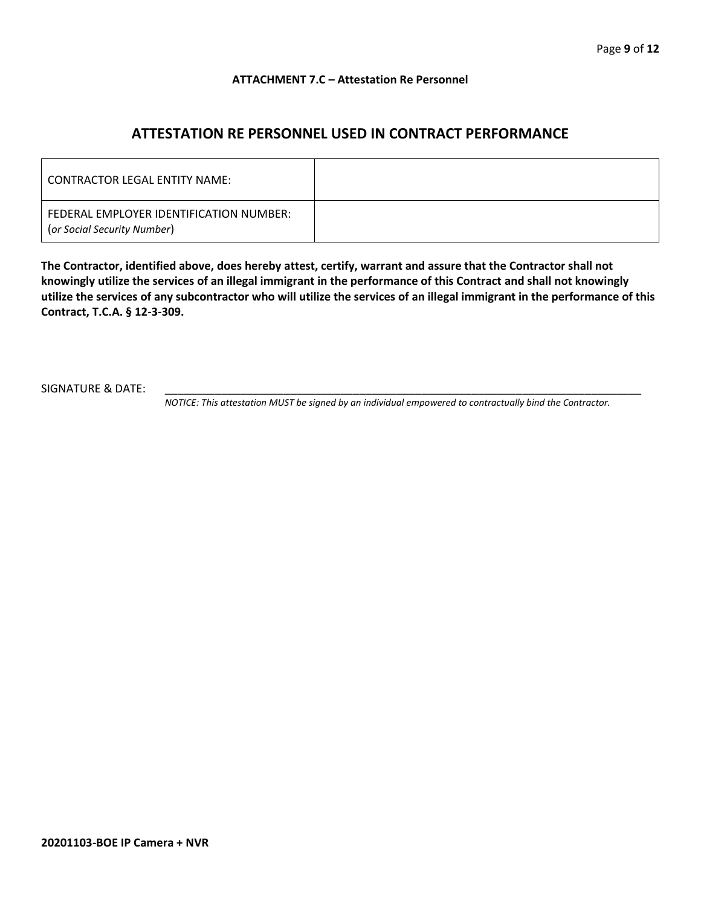#### **ATTACHMENT 7.C – Attestation Re Personnel**

## **ATTESTATION RE PERSONNEL USED IN CONTRACT PERFORMANCE**

| CONTRACTOR LEGAL ENTITY NAME:                                          |  |
|------------------------------------------------------------------------|--|
| FEDERAL EMPLOYER IDENTIFICATION NUMBER:<br>(or Social Security Number) |  |

**The Contractor, identified above, does hereby attest, certify, warrant and assure that the Contractor shall not knowingly utilize the services of an illegal immigrant in the performance of this Contract and shall not knowingly utilize the services of any subcontractor who will utilize the services of an illegal immigrant in the performance of this Contract, T.C.A. § 12-3-309.**

SIGNATURE & DATE:

*NOTICE: This attestation MUST be signed by an individual empowered to contractually bind the Contractor.*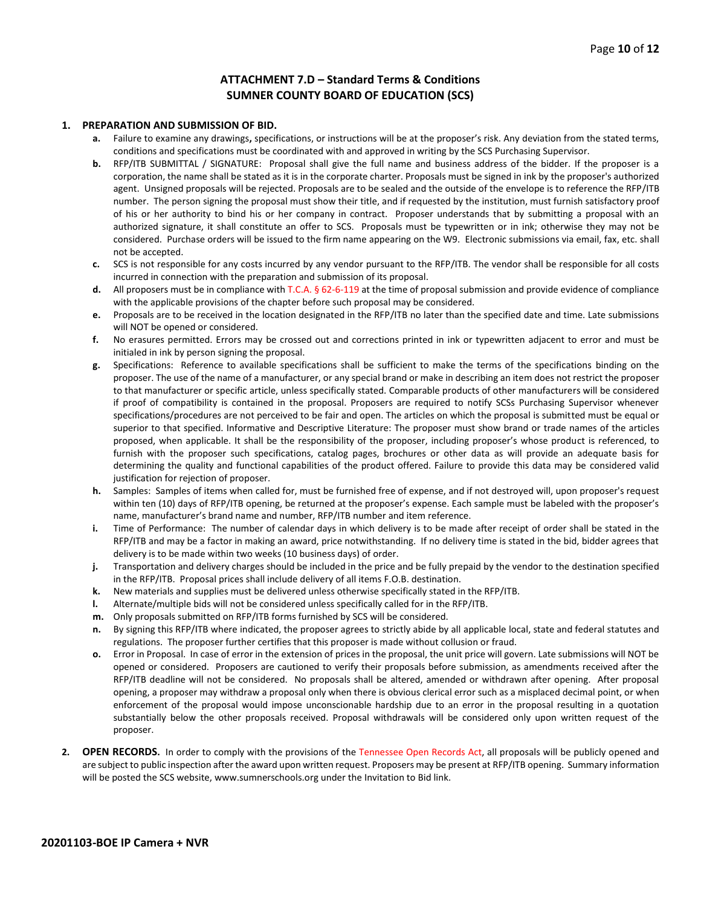#### **ATTACHMENT 7.D – Standard Terms & Conditions SUMNER COUNTY BOARD OF EDUCATION (SCS)**

#### **1. PREPARATION AND SUBMISSION OF BID.**

- **a.** Failure to examine any drawings**,** specifications, or instructions will be at the proposer's risk. Any deviation from the stated terms, conditions and specifications must be coordinated with and approved in writing by the SCS Purchasing Supervisor.
- **b.** RFP/ITB SUBMITTAL / SIGNATURE: Proposal shall give the full name and business address of the bidder. If the proposer is a corporation, the name shall be stated as it is in the corporate charter. Proposals must be signed in ink by the proposer's authorized agent. Unsigned proposals will be rejected. Proposals are to be sealed and the outside of the envelope is to reference the RFP/ITB number. The person signing the proposal must show their title, and if requested by the institution, must furnish satisfactory proof of his or her authority to bind his or her company in contract. Proposer understands that by submitting a proposal with an authorized signature, it shall constitute an offer to SCS. Proposals must be typewritten or in ink; otherwise they may not be considered. Purchase orders will be issued to the firm name appearing on the W9. Electronic submissions via email, fax, etc. shall not be accepted.
- **c.** SCS is not responsible for any costs incurred by any vendor pursuant to the RFP/ITB. The vendor shall be responsible for all costs incurred in connection with the preparation and submission of its proposal.
- **d.** All proposers must be in compliance with T.C.A. § 62-6-119 at the time of proposal submission and provide evidence of compliance with the applicable provisions of the chapter before such proposal may be considered.
- **e.** Proposals are to be received in the location designated in the RFP/ITB no later than the specified date and time. Late submissions will NOT be opened or considered.
- **f.** No erasures permitted. Errors may be crossed out and corrections printed in ink or typewritten adjacent to error and must be initialed in ink by person signing the proposal.
- **g.** Specifications: Reference to available specifications shall be sufficient to make the terms of the specifications binding on the proposer. The use of the name of a manufacturer, or any special brand or make in describing an item does not restrict the proposer to that manufacturer or specific article, unless specifically stated. Comparable products of other manufacturers will be considered if proof of compatibility is contained in the proposal. Proposers are required to notify SCSs Purchasing Supervisor whenever specifications/procedures are not perceived to be fair and open. The articles on which the proposal is submitted must be equal or superior to that specified. Informative and Descriptive Literature: The proposer must show brand or trade names of the articles proposed, when applicable. It shall be the responsibility of the proposer, including proposer's whose product is referenced, to furnish with the proposer such specifications, catalog pages, brochures or other data as will provide an adequate basis for determining the quality and functional capabilities of the product offered. Failure to provide this data may be considered valid justification for rejection of proposer.
- **h.** Samples: Samples of items when called for, must be furnished free of expense, and if not destroyed will, upon proposer's request within ten (10) days of RFP/ITB opening, be returned at the proposer's expense. Each sample must be labeled with the proposer's name, manufacturer's brand name and number, RFP/ITB number and item reference.
- **i.** Time of Performance: The number of calendar days in which delivery is to be made after receipt of order shall be stated in the RFP/ITB and may be a factor in making an award, price notwithstanding. If no delivery time is stated in the bid, bidder agrees that delivery is to be made within two weeks (10 business days) of order.
- **j.** Transportation and delivery charges should be included in the price and be fully prepaid by the vendor to the destination specified in the RFP/ITB. Proposal prices shall include delivery of all items F.O.B. destination.
- **k.** New materials and supplies must be delivered unless otherwise specifically stated in the RFP/ITB.
- **l.** Alternate/multiple bids will not be considered unless specifically called for in the RFP/ITB.
- **m.** Only proposals submitted on RFP/ITB forms furnished by SCS will be considered.
- **n.** By signing this RFP/ITB where indicated, the proposer agrees to strictly abide by all applicable local, state and federal statutes and regulations. The proposer further certifies that this proposer is made without collusion or fraud.
- **o.** Error in Proposal. In case of error in the extension of prices in the proposal, the unit price will govern. Late submissions will NOT be opened or considered. Proposers are cautioned to verify their proposals before submission, as amendments received after the RFP/ITB deadline will not be considered. No proposals shall be altered, amended or withdrawn after opening. After proposal opening, a proposer may withdraw a proposal only when there is obvious clerical error such as a misplaced decimal point, or when enforcement of the proposal would impose unconscionable hardship due to an error in the proposal resulting in a quotation substantially below the other proposals received. Proposal withdrawals will be considered only upon written request of the proposer.
- **2. OPEN RECORDS.** In order to comply with the provisions of the Tennessee Open Records Act, all proposals will be publicly opened and are subject to public inspection after the award upon written request. Proposers may be present at RFP/ITB opening. Summary information will be posted the SCS website, www.sumnerschools.org under the Invitation to Bid link.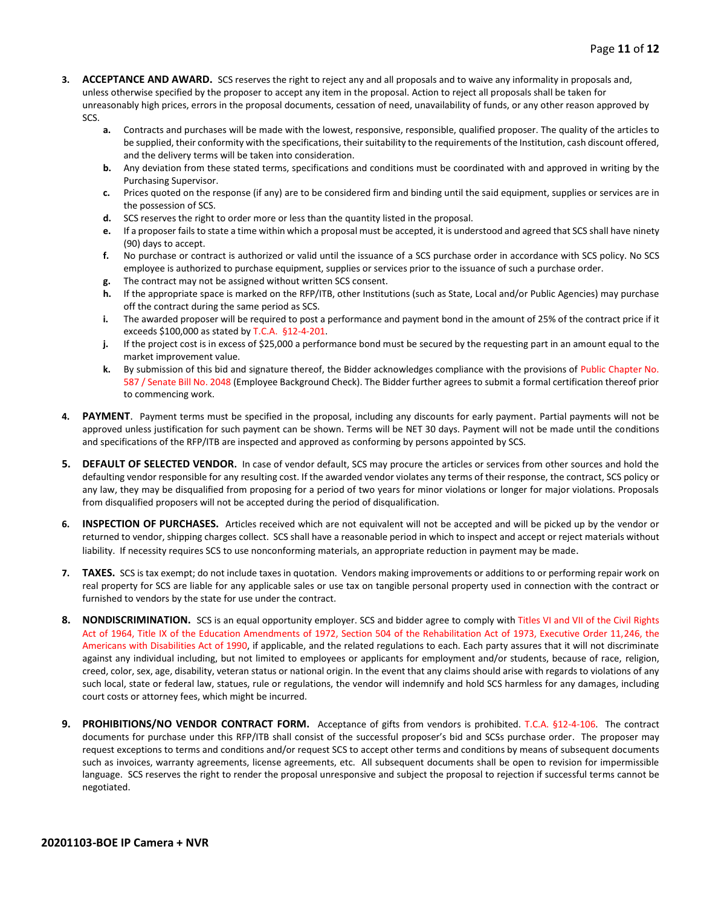- **3. ACCEPTANCE AND AWARD.** SCS reserves the right to reject any and all proposals and to waive any informality in proposals and, unless otherwise specified by the proposer to accept any item in the proposal. Action to reject all proposals shall be taken for unreasonably high prices, errors in the proposal documents, cessation of need, unavailability of funds, or any other reason approved by SCS.
	- **a.** Contracts and purchases will be made with the lowest, responsive, responsible, qualified proposer. The quality of the articles to be supplied, their conformity with the specifications, their suitability to the requirements of the Institution, cash discount offered, and the delivery terms will be taken into consideration.
	- **b.** Any deviation from these stated terms, specifications and conditions must be coordinated with and approved in writing by the Purchasing Supervisor.
	- **c.** Prices quoted on the response (if any) are to be considered firm and binding until the said equipment, supplies or services are in the possession of SCS.
	- **d.** SCS reserves the right to order more or less than the quantity listed in the proposal.
	- **e.** If a proposer fails to state a time within which a proposal must be accepted, it is understood and agreed that SCS shall have ninety (90) days to accept.
	- **f.** No purchase or contract is authorized or valid until the issuance of a SCS purchase order in accordance with SCS policy. No SCS employee is authorized to purchase equipment, supplies or services prior to the issuance of such a purchase order.
	- **g.** The contract may not be assigned without written SCS consent.
	- **h.** If the appropriate space is marked on the RFP/ITB, other Institutions (such as State, Local and/or Public Agencies) may purchase off the contract during the same period as SCS.
	- **i.** The awarded proposer will be required to post a performance and payment bond in the amount of 25% of the contract price if it exceeds \$100,000 as stated by T.C.A. §12-4-201.
	- **j.** If the project cost is in excess of \$25,000 a performance bond must be secured by the requesting part in an amount equal to the market improvement value.
	- **k.** By submission of this bid and signature thereof, the Bidder acknowledges compliance with the provisions of Public Chapter No. 587 / Senate Bill No. 2048 (Employee Background Check). The Bidder further agrees to submit a formal certification thereof prior to commencing work.
- **4. PAYMENT**. Payment terms must be specified in the proposal, including any discounts for early payment. Partial payments will not be approved unless justification for such payment can be shown. Terms will be NET 30 days. Payment will not be made until the conditions and specifications of the RFP/ITB are inspected and approved as conforming by persons appointed by SCS.
- **5. DEFAULT OF SELECTED VENDOR.** In case of vendor default, SCS may procure the articles or services from other sources and hold the defaulting vendor responsible for any resulting cost. If the awarded vendor violates any terms of their response, the contract, SCS policy or any law, they may be disqualified from proposing for a period of two years for minor violations or longer for major violations. Proposals from disqualified proposers will not be accepted during the period of disqualification.
- **6. INSPECTION OF PURCHASES.** Articles received which are not equivalent will not be accepted and will be picked up by the vendor or returned to vendor, shipping charges collect. SCS shall have a reasonable period in which to inspect and accept or reject materials without liability. If necessity requires SCS to use nonconforming materials, an appropriate reduction in payment may be made.
- **7. TAXES.** SCS is tax exempt; do not include taxes in quotation. Vendors making improvements or additions to or performing repair work on real property for SCS are liable for any applicable sales or use tax on tangible personal property used in connection with the contract or furnished to vendors by the state for use under the contract.
- **8. NONDISCRIMINATION.** SCS is an equal opportunity employer. SCS and bidder agree to comply with Titles VI and VII of the Civil Rights Act of 1964, Title IX of the Education Amendments of 1972, Section 504 of the Rehabilitation Act of 1973, Executive Order 11,246, the Americans with Disabilities Act of 1990, if applicable, and the related regulations to each. Each party assures that it will not discriminate against any individual including, but not limited to employees or applicants for employment and/or students, because of race, religion, creed, color, sex, age, disability, veteran status or national origin. In the event that any claims should arise with regards to violations of any such local, state or federal law, statues, rule or regulations, the vendor will indemnify and hold SCS harmless for any damages, including court costs or attorney fees, which might be incurred.
- **9. PROHIBITIONS/NO VENDOR CONTRACT FORM.** Acceptance of gifts from vendors is prohibited. T.C.A. §12-4-106. The contract documents for purchase under this RFP/ITB shall consist of the successful proposer's bid and SCSs purchase order. The proposer may request exceptions to terms and conditions and/or request SCS to accept other terms and conditions by means of subsequent documents such as invoices, warranty agreements, license agreements, etc. All subsequent documents shall be open to revision for impermissible language. SCS reserves the right to render the proposal unresponsive and subject the proposal to rejection if successful terms cannot be negotiated.